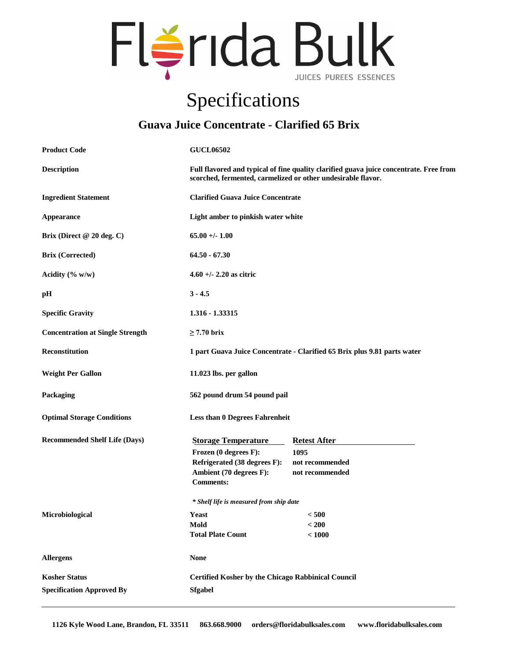

## Specifications

## **Guava Juice Concentrate - Clarified 65 Brix**

| <b>Product Code</b>                                      | <b>GUCL06502</b>                                                                                                                                       |                                                                   |
|----------------------------------------------------------|--------------------------------------------------------------------------------------------------------------------------------------------------------|-------------------------------------------------------------------|
| <b>Description</b>                                       | Full flavored and typical of fine quality clarified guava juice concentrate. Free from<br>scorched, fermented, carmelized or other undesirable flavor. |                                                                   |
| <b>Ingredient Statement</b>                              | <b>Clarified Guava Juice Concentrate</b>                                                                                                               |                                                                   |
| Appearance                                               | Light amber to pinkish water white                                                                                                                     |                                                                   |
| Brix (Direct $@20$ deg. C)                               | $65.00 +/- 1.00$                                                                                                                                       |                                                                   |
| <b>Brix (Corrected)</b>                                  | $64.50 - 67.30$                                                                                                                                        |                                                                   |
| Acidity $(\% w/w)$                                       | $4.60 +/- 2.20$ as citric                                                                                                                              |                                                                   |
| pН                                                       | $3 - 4.5$                                                                                                                                              |                                                                   |
| <b>Specific Gravity</b>                                  | 1.316 - 1.33315                                                                                                                                        |                                                                   |
| <b>Concentration at Single Strength</b>                  | $\geq$ 7.70 brix                                                                                                                                       |                                                                   |
| Reconstitution                                           | 1 part Guava Juice Concentrate - Clarified 65 Brix plus 9.81 parts water                                                                               |                                                                   |
| <b>Weight Per Gallon</b>                                 | 11.023 lbs. per gallon                                                                                                                                 |                                                                   |
| Packaging                                                | 562 pound drum 54 pound pail                                                                                                                           |                                                                   |
| <b>Optimal Storage Conditions</b>                        | <b>Less than 0 Degrees Fahrenheit</b>                                                                                                                  |                                                                   |
| <b>Recommended Shelf Life (Days)</b>                     | <b>Storage Temperature</b><br>Frozen (0 degrees F):<br>Refrigerated (38 degrees F):<br>Ambient (70 degrees F):<br><b>Comments:</b>                     | <b>Retest After</b><br>1095<br>not recommended<br>not recommended |
|                                                          | * Shelf life is measured from ship date                                                                                                                |                                                                   |
| Microbiological                                          | Yeast<br>Mold<br><b>Total Plate Count</b>                                                                                                              | < 500<br>$200$<br>< 1000                                          |
| <b>Allergens</b>                                         | <b>None</b>                                                                                                                                            |                                                                   |
| <b>Kosher Status</b><br><b>Specification Approved By</b> | <b>Certified Kosher by the Chicago Rabbinical Council</b><br><b>Sfgabel</b>                                                                            |                                                                   |